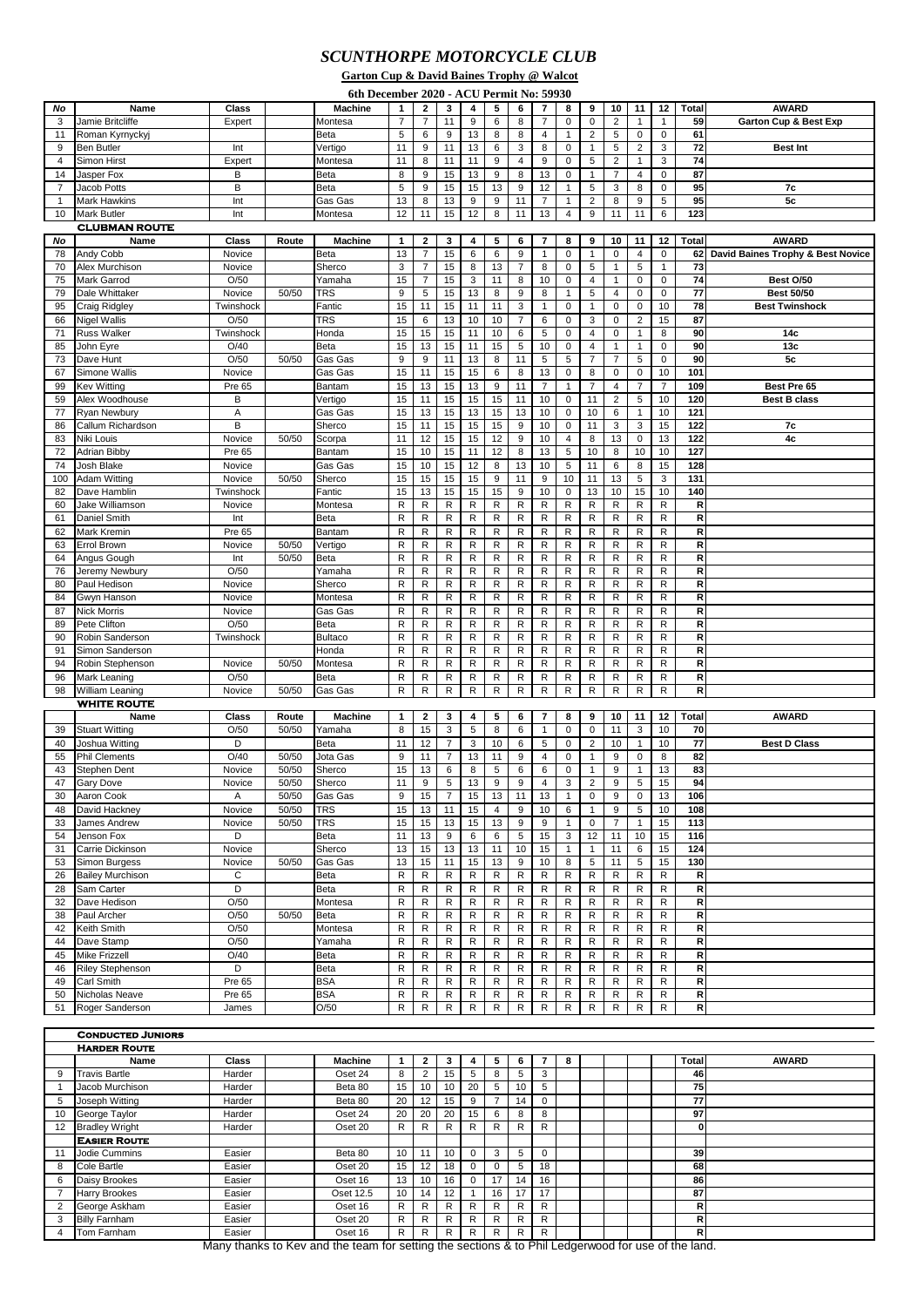## *SCUNTHORPE MOTORCYCLE CLUB*

|                      | <b>Garton Cup &amp; David Baines Trophy @ Walcot</b> |                  |                |                                          |                  |                    |                    |                |                                    |                |                              |                |                |                |                |                |                 |                                              |
|----------------------|------------------------------------------------------|------------------|----------------|------------------------------------------|------------------|--------------------|--------------------|----------------|------------------------------------|----------------|------------------------------|----------------|----------------|----------------|----------------|----------------|-----------------|----------------------------------------------|
|                      |                                                      |                  |                | 6th December 2020 - ACU Permit No: 59930 |                  |                    |                    |                |                                    |                |                              |                |                |                |                |                |                 |                                              |
| No                   | <b>Name</b>                                          | <b>Class</b>     |                | <b>Machine</b>                           | 1                | $\mathbf{2}$       | 3                  | 4              | 5                                  | 6              | $\overline{7}$               | 8              | 9              | 10             | 11             | 12             | <b>Total</b>    | <b>AWARD</b>                                 |
| 3                    | Jamie Britcliffe                                     | Expert           |                | Montesa                                  | $\overline{7}$   | $\overline{7}$     | 11                 | 9              | 6                                  | 8              | $\overline{7}$               | 0              | 0              | 2              | $\mathbf 1$    | 1              | 59              | <b>Garton Cup &amp; Best Exp</b>             |
| 11                   | Roman Kyrnyckyj                                      |                  |                | Beta                                     | 5                | 6                  | 9                  | 13             | 8                                  | 8              | 4                            | 1              | $\overline{2}$ | 5              | 0              | 0              | 61              |                                              |
| 9                    | <b>Ben Butler</b>                                    | Int              |                | Vertigo                                  | 11               | 9                  | 11                 | 13             | 6                                  | 3              | 8                            | 0              | $\mathbf{1}$   | 5              | 2              | 3              | 72              | <b>Best Int</b>                              |
| 4                    | Simon Hirst                                          | Expert           |                | Montesa                                  | 11               | 8                  | 11                 | 11             | 9                                  | 4              | 9                            | 0              | 5              | 2              | $\overline{1}$ | 3              | 74              |                                              |
| 14                   | Jasper Fox                                           | B                |                | <b>Beta</b>                              | 8                | 9                  | 15                 | 13             | 9                                  | 8              | 13                           | $\mathbf 0$    | $\mathbf{1}$   | $\overline{7}$ | $\overline{4}$ | $\mathbf 0$    | 87              |                                              |
| 7                    | Jacob Potts                                          | B                |                | <b>Beta</b>                              | 5                | 9                  | 15                 | 15             | 13                                 | 9              | 12                           | 1              | $\mathbf 5$    | 3              | 8              | 0              | 95              | 7c                                           |
| -1                   | <b>Mark Hawkins</b>                                  | Int              |                | Gas Gas                                  | 13               | 8                  | 13                 | 9              | 9                                  | 11             | $\overline{7}$               | 1              | 2              | 8              | 9              | 5              | 95              | 5c                                           |
| 10                   | <b>Mark Butler</b>                                   | Int              |                | Montesa                                  | 12               | 11                 | 15                 | 12             | 8                                  | 11             | 13                           | 4              | 9              | 11             | 11             | 6              | 123             |                                              |
| <b>CLUBMAN ROUTE</b> |                                                      |                  |                |                                          |                  |                    |                    |                |                                    |                |                              |                |                |                |                |                |                 |                                              |
| No                   | Name                                                 | Class            | Route          | <b>Machine</b>                           | 1                | $\mathbf{2}$       | 3                  | 4              | 5                                  | 6              | 7                            | 8              | 9              | 10             | 11             | 12             | <b>Total</b>    | <b>AWARD</b>                                 |
| 78                   | Andy Cobb                                            | Novice           |                | Beta                                     | 13               | $\overline{7}$     | 15                 | 6              | 6                                  | 9              | $\mathbf{1}$                 | 0              | $\mathbf{1}$   | $\mathbf 0$    | $\overline{4}$ | $\mathbf 0$    | 62              | <b>David Baines Trophy &amp; Best Novice</b> |
| 70                   | Alex Murchison                                       | Novice           |                | Sherco                                   | 3                | 7                  | 15                 | 8              | 13                                 | 7              | 8                            | 0              | 5              | $\mathbf{1}$   | 5              | $\mathbf 1$    | $\overline{73}$ |                                              |
| 75                   | <b>Mark Garrod</b>                                   | O/50             |                | Yamaha                                   | 15               | $\overline{7}$     | 15                 | 3              | 11                                 | 8              | 10                           | 0              | 4              | $\mathbf{1}$   | $\mathbf 0$    | 0              | 74              | Best O/50                                    |
| 79                   | Dale Whittaker                                       | Novice           | 50/50          | <b>TRS</b>                               | 9                | 5                  | 15                 | 13             | 8                                  | 9              | 8                            | 1              | 5              | 4              | $\overline{0}$ | 0              | 77              | <b>Best 50/50</b>                            |
| 95                   | <b>Craig Ridgley</b>                                 | Twinshock        |                | Fantic                                   | 15               | 11                 | 15                 | 11             | 11                                 | 3              | $\mathbf{1}$                 | $\mathbf 0$    | $\mathbf{1}$   | $\mathbf 0$    | $\overline{0}$ | 10             | $\overline{78}$ | <b>Best Twinshock</b>                        |
| 66                   | <b>Nigel Wallis</b>                                  | O/50             |                | <b>TRS</b>                               | 15               | 6                  | 13                 | 10             | 10                                 | $\overline{7}$ | 6                            | 0              | 3              | $\mathbf 0$    | $\overline{2}$ | 15             | 87              |                                              |
| 71                   | <b>Russ Walker</b>                                   | Twinshock        |                | Honda                                    | 15               | 15                 | 15                 | 11             | 10                                 | 6              | 5                            | 0              | 4              | $\mathbf 0$    | $\overline{1}$ | 8              | 90              | 14 <sub>c</sub>                              |
| 85                   | John Eyre                                            | O/40             |                | <b>Beta</b>                              | 15               | 13                 | 15                 | 11             | 15                                 | 5              | 10                           | 0              | 4              | $\mathbf{1}$   | $\overline{1}$ | $\mathbf 0$    | 90              | 13 <sub>c</sub>                              |
| 73                   | Dave Hunt                                            | O/50             | 50/50          | Gas Gas                                  | 9                | 9                  | 11                 | 13             | 8                                  | 11             | $5\phantom{.0}$              | 5              | $\overline{7}$ | $\overline{7}$ | 5              | 0              | 90              | 5c                                           |
| 67                   | Simone Wallis                                        | Novice           |                | Gas Gas                                  | 15               | 11                 | 15                 | 15             | 6                                  | 8              | 13                           | 0              | 8              | $\mathbf 0$    | 0              | 10             | 101             |                                              |
| 99                   | <b>Kev Witting</b>                                   | <b>Pre 65</b>    |                | Bantam                                   | 15               | 13                 | 15                 | 13             | 9                                  | 11             | $\overline{7}$               | $\mathbf{1}$   | $\overline{7}$ | 4              | $\overline{7}$ | $\overline{7}$ | 109             | Best Pre 65                                  |
| 59                   | Alex Woodhouse                                       | B                |                | Vertigo                                  | 15               | 11                 | 15                 | 15             | 15                                 | 11             | 10                           | $\mathbf 0$    | 11             | 2              | 5              | 10             | 120             | <b>Best B class</b>                          |
| 77                   | <b>Ryan Newbury</b>                                  | Α                |                | Gas Gas                                  | 15               | 13                 | 15                 | 13             | 15                                 | 13             | 10                           | 0              | 10             | 6              | $\overline{1}$ | 10             | 121             |                                              |
| 86                   | Callum Richardson                                    | B                |                | Sherco                                   | 15               | 11                 | 15                 | 15             | 15                                 | 9              | 10                           | 0              | 11             | 3              | 3              | 15             | 122             | 7c                                           |
| 83                   | Niki Louis                                           | Novice           | 50/50          | Scorpa                                   | 11               | 12                 | 15                 | 15             | 12                                 | 9              | 10                           | 4              | 8              | 13             | 0              | 13             | 122             | 4c                                           |
| 72                   | <b>Adrian Bibby</b>                                  | <b>Pre 65</b>    |                | <b>Bantam</b>                            | 15               | 10                 | 15                 | 11             | 12                                 | 8              | 13                           | 5              | 10             | 8              | 10             | 10             | 127             |                                              |
| 74                   | Josh Blake                                           | Novice           |                | Gas Gas                                  | 15               | 10                 | 15                 | 12             | 8                                  | 13             | $10$                         | $\sqrt{5}$     | 11             | 6              | 8              | 15             | 128             |                                              |
| 100                  | <b>Adam Witting</b>                                  | Novice           | 50/50          | Sherco                                   | 15               | 15                 | 15                 | 15             | 9                                  | 11             | 9                            | 10             | 11             | 13             | 5              | 3              | 131             |                                              |
| 82                   | Dave Hamblin                                         | Twinshock        |                | Fantic                                   | 15               | 13                 | 15                 | 15             | 15                                 | 9              | 10                           | 0              | 13             | 10             | 15             | 10             | 140             |                                              |
| 60                   | Jake Williamson                                      | Novice           |                | Montesa                                  | R                | R                  | $\mathsf{R}$       | $\mathsf{R}$   | $\mathsf{R}$                       | R              | R                            | R              | R              | $\mathsf{R}$   | R              | R              | R               |                                              |
| 61                   | Daniel Smith                                         | Int              |                | <b>Beta</b>                              | R                | R                  | R                  | R              | R                                  | R              | R                            | R              | R              | R              | R              | R              | R               |                                              |
| 62                   | Mark Kremin                                          | <b>Pre 65</b>    |                | Bantam                                   | R                | R                  | R                  | R              | R                                  | R              | R                            | R              | R              | R              | R              | R              | R               |                                              |
| 63                   | Errol Brown                                          | Novice           | 50/50          | Vertigo                                  | R                | R                  | R                  | R              | R                                  | R              | R                            | R              | R              | R              | R              | R              | R               |                                              |
| 64                   | Angus Gough                                          | Int              | 50/50          | <b>Beta</b>                              | R                | R                  | R                  | R              | R                                  | R              | R                            | R              | R              | R              | R              | R              | R               |                                              |
| 76                   | Jeremy Newbury                                       | O/50             |                | Yamaha                                   | R                | R                  | R                  | R              | R                                  | R              | R                            | R              | R              | R              | R              | R              | R               |                                              |
| 80                   | Paul Hedison                                         | Novice           |                | Sherco                                   | R                | R                  | R                  | R              | R                                  | R              | R                            | R              | R              | R              | R              | R              | R               |                                              |
| 84                   | Gwyn Hanson                                          | Novice           |                | Montesa                                  | $\overline{R}$   | $\overline{R}$     | $\overline{R}$     | $\overline{R}$ | $\overline{R}$                     | $\overline{R}$ | R                            | $\overline{R}$ | $\overline{R}$ | $\overline{R}$ | $\overline{R}$ | $\overline{R}$ | $\overline{R}$  |                                              |
| 87                   | Nick Morris                                          | Novice           |                | Gas Gas                                  | R                | R                  | R                  | R              | R                                  | R              | R                            | R              | R              | R              | R              | R              | R               |                                              |
| 89                   | Pete Clifton                                         | O/50             |                | Beta                                     | R                | R                  | R                  | R              | R                                  | R              | $\mathsf{R}$                 | R              | R              | R              | R              | R              | R               |                                              |
| 90                   | Robin Sanderson                                      | Twinshock        |                | <b>Bultaco</b>                           | R                | R                  | R                  | R              | R                                  | R              | R                            | R              | R              | R              | R              | R              | R               |                                              |
| 91                   | Simon Sanderson                                      |                  |                | Honda                                    | R                | R                  | $\mathsf{R}$       | R              | R                                  | R              | $\mathsf{R}$                 | R              | R              | R              | R              | R              | R               |                                              |
| 94                   | Robin Stephenson                                     | Novice           | 50/50          | Montesa                                  | R                | R                  | R                  | R              | R                                  | R              | R                            | R              | R              | R              | R              | R              | R               |                                              |
| 96                   | Mark Leaning                                         | O/50             |                | Beta                                     | R                | R                  | R                  | R              | R                                  | R              | R.                           | R              | R              | R              | R              | R              | R               |                                              |
| 98                   | <b>William Leaning</b>                               | Novice           | 50/50          | Gas Gas                                  | R                | R                  | R                  | R              | R                                  | R              | R.                           | R              | R              | R              | R              | R              | R               |                                              |
|                      | <b>WHITE ROUTE</b>                                   | <b>Class</b>     |                | <b>Machine</b>                           |                  |                    |                    |                | 5                                  | 6              | 7                            |                | 9              | 10             | 11             | 12             | <b>Total</b>    | <b>AWARD</b>                                 |
|                      | Name<br><b>Stuart Witting</b>                        | O/50             | Route<br>50/50 |                                          | $\mathbf 1$<br>8 | $\mathbf{2}$<br>15 | $\mathbf{3}$       | 4              | 8                                  | 6              |                              | 8              | 0              | 11             | $\mathbf{3}$   | 10             | 70              |                                              |
| 39                   | $10 \text{ kg}$                                      | $\triangleright$ |                | Yamaha<br>$\overline{D}_{\alpha+\alpha}$ | 44               | $\sim$             | 3<br>$\rightarrow$ | 5              | $\sim$ $\sim$ $\sim$ $\sim$ $\sim$ |                | $\mathbf{1}$<br>$\mathbf{r}$ | 0<br>$\sim$    | $\sim$         |                | 101110         |                | $\overline{ }$  | <b>Deat D.Class</b>                          |

| ວອ | <b>Stuart villing</b>   | UGIU   | <b>UC/UC</b> | ∎ramana     | $\circ$ | ıэ | C.             | J. | $\circ$          | O               |    | U           | U           |    | <b>ن</b> | 1 U             | 7 U I        |                     |
|----|-------------------------|--------|--------------|-------------|---------|----|----------------|----|------------------|-----------------|----|-------------|-------------|----|----------|-----------------|--------------|---------------------|
| 40 | Joshua Witting          | D      |              | Beta        | 11      | 12 |                | 3  | 10 <sup>1</sup>  | 6               | 5  | $\mathbf 0$ | 2           | 10 |          | 10 <sup>°</sup> | 77           | <b>Best D Class</b> |
| 55 | <b>Phil Clements</b>    | O/40   | 50/50        | Jota Gas    | 9       | 11 | $\overline{7}$ | 13 |                  | 9               |    | 0           |             | 9  |          | 8               | 82           |                     |
| 43 | Stephen Dent            | Novice | 50/50        | Sherco      | 15      | 13 | 6              | 8  | 5                | 6               | 6  | 0           |             | 9  |          | 13              | 83           |                     |
| 47 | <b>Gary Dove</b>        | Novice | 50/50        | Sherco      | 11      | 9  | 5              | 13 | 9                | 9               |    | 3           | 2           | 9  | 5        | 15              | 94           |                     |
| 30 | Aaron Cook              | A      | 50/50        | Gas Gas     | 9       | 15 | $\overline{7}$ | 15 | 13 <sup>1</sup>  | 11              | 13 |             | $\mathbf 0$ | 9  |          | 13              | 106          |                     |
| 48 | David Hackney           | Novice | 50/50        | <b>TRS</b>  | 15      | 13 | 11             | 15 |                  | 9               | 10 | 6           |             | 9  | 5        | 10              | 108          |                     |
| 33 | <b>James Andrew</b>     | Novice | 50/50        | TRS         | 15      | 15 | 13             | 15 | 13 <sup>13</sup> | 9               | 9  |             | 0           |    |          | 15              | 113          |                     |
| 54 | Jenson Fox              | D      |              | <b>Beta</b> | 11      | 13 | 9              | 6  | 6                | 5               | 15 | 3           | 12          | 11 | 10       | 15              | <b>116</b>   |                     |
| 31 | Carrie Dickinson        | Novice |              | Sherco      | 13      | 15 | 13             | 13 | 11               | 10 <sup>°</sup> | 15 |             |             | 11 | 6        | 15              | 124          |                     |
| 53 | Simon Burgess           | Novice | 50/50        | Gas Gas     | 13      | 15 | 11             | 15 | 13               | 9               | 10 | 8           | 5           | 11 | 5        | 15              | 130          |                     |
| 26 | <b>Bailey Murchison</b> | С      |              | <b>Beta</b> | R       | R  | R              | R  | R                | R               | R. | R           | R.          | R  | R        | R.              | R.           |                     |
| 28 | Sam Carter              | D      |              | Beta        | R       | R  | R.             | R  | R.               | R               | R  | R           | R           | R  | R        | R.              | R.           |                     |
| 32 | Dave Hedison            | O/50   |              | Montesa     | R       | R  | R.             | R  | R.               | R               | R  | R           | R           | R  | R        | R.              | R.           |                     |
| 38 | Paul Archer             | O/50   | 50/50        | Beta        | R       | R  | R.             | R  | R                | R.              | R  | R           | R           | R  | R        | R.              | R.           |                     |
| 42 | Keith Smith             | O/50   |              | Montesa     | R       | R  | R              | R  | R.               | R               | R. | R           | R           | R  | R.       | R.              | R.           |                     |
| 44 | Dave Stamp              | O/50   |              | Yamaha      | R       | R  | R              | R  | R.               | R               | R  | R           | R           | R  | R        | R               | R.           |                     |
| 45 | Mike Frizzell           | O/40   |              | Beta        | R       | R  | R.             | R  | R                | R               | R  | R           | R           | R  | R        | R.              | $\mathsf{R}$ |                     |
| 46 | <b>Riley Stephenson</b> | D      |              | <b>Beta</b> | R       | R  | R              | R  | R.               | R               | R  | R           | R           | R  | R        | R               | R.           |                     |
| 49 | Carl Smith              | Pre 65 |              | <b>BSA</b>  | R       | R  | R.             | R  | R                | R               | R  | R           | R           | R  | R        | R.              | R.           |                     |
| 50 | Nicholas Neave          | Pre 65 |              | <b>BSA</b>  | R.      | R  | R.             | R  | R                | R               | R  | R           | R           | R  | R        | R.              | R.           |                     |
| 51 | Roger Sanderson         | James  |              | O/50        | R       | R  | R              | R  | R                | R               | R. | R           | R           | R  | R        | R.              | R            |                     |

|    | <b>CONDUCTED JUNIORS</b> |              |                |    |              |    |          |    |    |    |   |  |  |       |              |
|----|--------------------------|--------------|----------------|----|--------------|----|----------|----|----|----|---|--|--|-------|--------------|
|    | <b>HARDER ROUTE</b>      |              |                |    |              |    |          |    |    |    |   |  |  |       |              |
|    | Name                     | <b>Class</b> | <b>Machine</b> |    | $\mathbf{2}$ | 3  |          | 5  | 6  |    | 8 |  |  | Total | <b>AWARD</b> |
| 9  | <b>Travis Bartle</b>     | Harder       | Oset 24        | 8  |              | 15 | 5        |    | 5  | 3  |   |  |  | 46I   |              |
|    | Jacob Murchison          | Harder       | Beta 80        | 15 | 10           | 10 | 20       | 5  | 10 | 5  |   |  |  | 75    |              |
| 5  | Joseph Witting           | Harder       | Beta 80        | 20 | 12           | 15 | 9        | 7  | 14 | 0  |   |  |  | 77    |              |
| 10 | George Taylor            | Harder       | Oset 24        | 20 | 20           | 20 | 15       | 6  | 8  | 8  |   |  |  | 97    |              |
| 12 | <b>Bradley Wright</b>    | Harder       | Oset 20        | R  | R            | R  | R        | R  | R  | R. |   |  |  | 0     |              |
|    | <b>EASIER ROUTE</b>      |              |                |    |              |    |          |    |    |    |   |  |  |       |              |
|    | Jodie Cummins            | Easier       | Beta 80        | 10 | 11           | 10 | $\Omega$ | 3  | 5  | 0  |   |  |  | 39    |              |
| 8  | Cole Bartle              | Easier       | Oset 20        | 15 | 12           | 18 | $\Omega$ |    | 5  | 18 |   |  |  | 68    |              |
| 6  | Daisy Brookes            | Easier       | Oset 16        | 13 | 10           | 16 | $\Omega$ | 17 | 14 | 16 |   |  |  | 86    |              |
|    | <b>Harry Brookes</b>     | Easier       | Oset 12.5      | 10 | 14           | 12 |          | 16 | 17 | 17 |   |  |  | 87    |              |
|    | George Askham            | Easier       | Oset 16        | R. | R            | R  | R        | R. | R. | R  |   |  |  | R.    |              |
| 3  | <b>Billy Farnham</b>     | Easier       | Oset 20        | R. | R            | R. | R        | R  | R. | R  |   |  |  | RI    |              |
|    | Tom Farnham              | Easier       | Oset 16        | R. | R            | R  | R        | R  | R. | R  |   |  |  | R.    |              |

Many thanks to Kev and the team for setting the sections & to Phil Ledgerwood for use of the land.